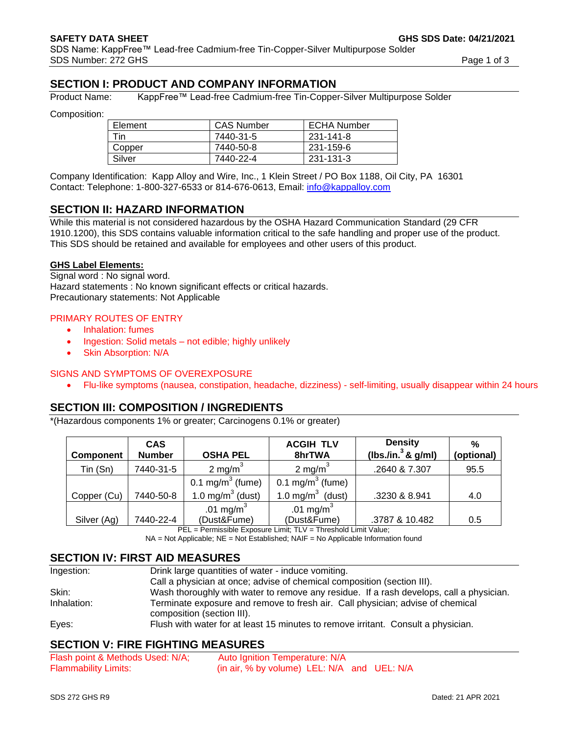# **SECTION I: PRODUCT AND COMPANY INFORMATION**

Product Name: KappFree™ Lead-free Cadmium-free Tin-Copper-Silver Multipurpose Solder

Composition:

| Element | <b>CAS Number</b> | <b>ECHA Number</b> |
|---------|-------------------|--------------------|
| Tin     | 7440-31-5         | 231-141-8          |
| Copper  | 7440-50-8         | 231-159-6          |
| Silver  | 7440-22-4         | 231-131-3          |

Company Identification: Kapp Alloy and Wire, Inc., 1 Klein Street / PO Box 1188, Oil City, PA 16301 Contact: Telephone: 1-800-327-6533 or 814-676-0613, Email: [info@kappalloy.com](mailto:info@kappalloy.com)

# **SECTION II: HAZARD INFORMATION**

While this material is not considered hazardous by the OSHA Hazard Communication Standard (29 CFR 1910.1200), this SDS contains valuable information critical to the safe handling and proper use of the product. This SDS should be retained and available for employees and other users of this product.

#### **GHS Label Elements:**

Signal word : No signal word. Hazard statements : No known significant effects or critical hazards. Precautionary statements: Not Applicable

#### PRIMARY ROUTES OF ENTRY

- Inhalation: fumes
- Ingestion: Solid metals not edible; highly unlikely
- **Skin Absorption: N/A**

#### SIGNS AND SYMPTOMS OF OVEREXPOSURE

• Flu-like symptoms (nausea, constipation, headache, dizziness) - self-limiting, usually disappear within 24 hours

# **SECTION III: COMPOSITION / INGREDIENTS**

\*(Hazardous components 1% or greater; Carcinogens 0.1% or greater)

| Component   | <b>CAS</b><br><b>Number</b> | <b>OSHA PEL</b>                      | <b>ACGIH TLV</b><br>8hrTWA           | <b>Density</b><br>(lbs./in. $3$ & g/ml) | $\frac{0}{0}$<br>(optional) |
|-------------|-----------------------------|--------------------------------------|--------------------------------------|-----------------------------------------|-----------------------------|
| Tin (Sn)    | 7440-31-5                   | 2 mg/m <sup>3</sup>                  | 2 mg/m <sup>3</sup>                  | .2640 & 7.307                           | 95.5                        |
|             |                             | 0.1 mg/m <sup>3</sup> (fume)         | 0.1 mg/m $3$ (fume)                  |                                         |                             |
| Copper (Cu) | 7440-50-8                   | 1.0 mg/m $3$ (dust)                  | 1.0 mg/m $3$ (dust)                  | .3230 & 8.941                           | 4.0                         |
| Silver (Ag) | 7440-22-4                   | .01 mg/m <sup>3</sup><br>(Dust&Fume) | .01 mg/m <sup>3</sup><br>(Dust&Fume) | .3787 & 10.482                          | 0.5                         |

PEL = Permissible Exposure Limit: TLV = Threshold Limit Value;

 $NA = Not$  Applicable;  $NE = Not$  Established;  $NAIF = No$  Applicable Information found

#### **SECTION IV: FIRST AID MEASURES**

| Ingestion:  | Drink large quantities of water - induce vomiting.                                                           |
|-------------|--------------------------------------------------------------------------------------------------------------|
|             | Call a physician at once; advise of chemical composition (section III).                                      |
| Skin:       | Wash thoroughly with water to remove any residue. If a rash develops, call a physician.                      |
| Inhalation: | Terminate exposure and remove to fresh air. Call physician; advise of chemical<br>composition (section III). |
| Eyes:       | Flush with water for at least 15 minutes to remove irritant. Consult a physician.                            |

# **SECTION V: FIRE FIGHTING MEASURES**

| Flash point & Methods Used: N/A; | Auto Ignition Temperature: N/A                    |
|----------------------------------|---------------------------------------------------|
| <b>Flammability Limits:</b>      | (in air, $%$ by volume) LEL: $N/A$ and UEL: $N/A$ |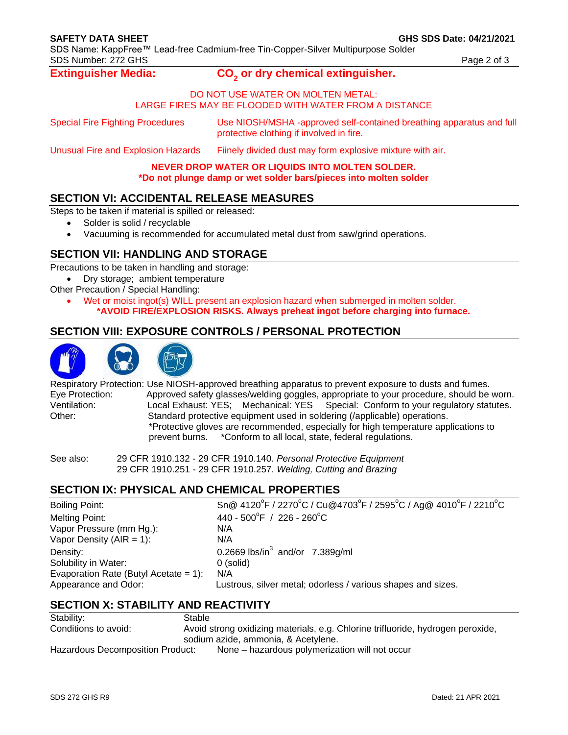SDS Name: KappFree™ Lead-free Cadmium-free Tin-Copper-Silver Multipurpose Solder SDS Number: 272 GHS Page 2 of 3

**Extinguisher Media:** 

#### **or dry chemical extinguisher.**

#### DO NOT USE WATER ON MOLTEN METAL: LARGE FIRES MAY BE FLOODED WITH WATER FROM A DISTANCE

Special Fire Fighting Procedures Use NIOSH/MSHA -approved self-contained breathing apparatus and full protective clothing if involved in fire.

Unusual Fire and Explosion Hazards Fiinely divided dust may form explosive mixture with air.

#### **NEVER DROP WATER OR LIQUIDS INTO MOLTEN SOLDER. \*Do not plunge damp or wet solder bars/pieces into molten solder**

## **SECTION VI: ACCIDENTAL RELEASE MEASURES**

Steps to be taken if material is spilled or released:

- Solder is solid / recyclable
- Vacuuming is recommended for accumulated metal dust from saw/grind operations.

# **SECTION VII: HANDLING AND STORAGE**

Precautions to be taken in handling and storage:

• Dry storage; ambient temperature

- Other Precaution / Special Handling:
	- Wet or moist ingot(s) WILL present an explosion hazard when submerged in molten solder. **\*AVOID FIRE/EXPLOSION RISKS. Always preheat ingot before charging into furnace.**

# **SECTION VIII: EXPOSURE CONTROLS / PERSONAL PROTECTION**



Respiratory Protection: Use NIOSH-approved breathing apparatus to prevent exposure to dusts and fumes. Eye Protection: Approved safety glasses/welding goggles, appropriate to your procedure, should be worn. Ventilation: Local Exhaust: YES; Mechanical: YES Special: Conform to your regulatory statutes. Other: Standard protective equipment used in soldering (/applicable) operations. \*Protective gloves are recommended, especially for high temperature applications to prevent burns. \*Conform to all local, state, federal regulations.

See also: 29 CFR 1910.132 - 29 CFR 1910.140. *Personal Protective Equipment* 29 CFR 1910.251 - 29 CFR 1910.257. *Welding, Cutting and Brazing*

# **SECTION IX: PHYSICAL AND CHEMICAL PROPERTIES**

| <b>Boiling Point:</b>                 | Sn@ 4120°F / 2270°C / Cu@4703°F / 2595°C / Ag@ 4010°F / 2210°C |
|---------------------------------------|----------------------------------------------------------------|
| Melting Point:                        | 440 - 500°F / 226 - 260°C                                      |
| Vapor Pressure (mm Hg.):              | N/A                                                            |
| Vapor Density (AIR = 1):              | N/A                                                            |
| Density:                              | 0.2669 lbs/in <sup>3</sup> and/or $7.389$ g/ml                 |
| Solubility in Water:                  | 0 (solid)                                                      |
| Evaporation Rate (Butyl Acetate = 1): | N/A                                                            |
| Appearance and Odor:                  | Lustrous, silver metal; odorless / various shapes and sizes.   |
|                                       |                                                                |

# **SECTION X: STABILITY AND REACTIVITY**

| Stability:                       | Stable                                                                          |  |  |
|----------------------------------|---------------------------------------------------------------------------------|--|--|
| Conditions to avoid:             | Avoid strong oxidizing materials, e.g. Chlorine trifluoride, hydrogen peroxide, |  |  |
|                                  | sodium azide, ammonia, & Acetylene.                                             |  |  |
| Hazardous Decomposition Product: | None – hazardous polymerization will not occur                                  |  |  |